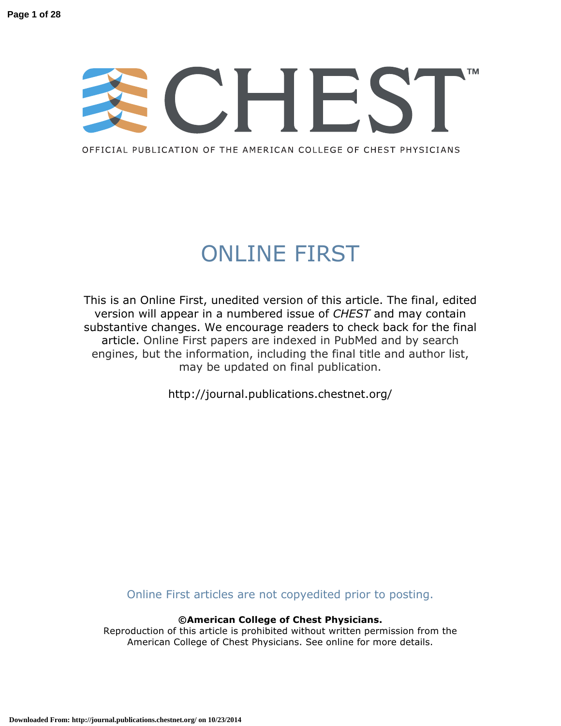# **TM**

OFFICIAL PUBLICATION OF THE AMERICAN COLLEGE OF CHEST PHYSICIANS

## ONLINE FIRST

This is an Online First, unedited version of this article. The final, edited version will appear in a numbered issue of *CHEST* and may contain substantive changes. We encourage readers to check back for the final article. Online First papers are indexed in PubMed and by search engines, but the information, including the final title and author list, may be updated on final publication.

http://journal.publications.chestnet.org/

Online First articles are not copyedited prior to posting.

**©American College of Chest Physicians.**

Reproduction of this article is prohibited without written permission from the American College of Chest Physicians. See online for more details.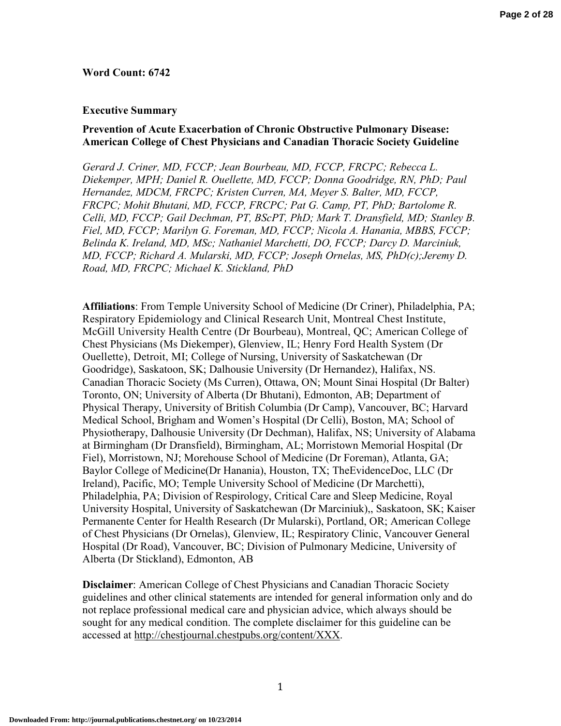## **Word Count: 6742**

#### **Executive Summary**

## **Prevention of Acute Exacerbation of Chronic Obstructive Pulmonary Disease: American College of Chest Physicians and Canadian Thoracic Society Guideline**

*Gerard J. Criner, MD, FCCP; Jean Bourbeau, MD, FCCP, FRCPC; Rebecca L. Diekemper, MPH; Daniel R. Ouellette, MD, FCCP; Donna Goodridge, RN, PhD; Paul Hernandez, MDCM, FRCPC; Kristen Curren, MA, Meyer S. Balter, MD, FCCP, FRCPC; Mohit Bhutani, MD, FCCP, FRCPC; Pat G. Camp, PT, PhD; Bartolome R. Celli, MD, FCCP; Gail Dechman, PT, BScPT, PhD; Mark T. Dransfield, MD; Stanley B. Fiel, MD, FCCP; Marilyn G. Foreman, MD, FCCP; Nicola A. Hanania, MBBS, FCCP; Belinda K. Ireland, MD, MSc; Nathaniel Marchetti, DO, FCCP; Darcy D. Marciniuk, MD, FCCP; Richard A. Mularski, MD, FCCP; Joseph Ornelas, MS, PhD(c);Jeremy D. Road, MD, FRCPC; Michael K. Stickland, PhD* 

**Affiliations**: From Temple University School of Medicine (Dr Criner), Philadelphia, PA; Respiratory Epidemiology and Clinical Research Unit, Montreal Chest Institute, McGill University Health Centre (Dr Bourbeau), Montreal, QC; American College of Chest Physicians (Ms Diekemper), Glenview, IL; Henry Ford Health System (Dr Ouellette), Detroit, MI; College of Nursing, University of Saskatchewan (Dr Goodridge), Saskatoon, SK; Dalhousie University (Dr Hernandez), Halifax, NS. Canadian Thoracic Society (Ms Curren), Ottawa, ON; Mount Sinai Hospital (Dr Balter) Toronto, ON; University of Alberta (Dr Bhutani), Edmonton, AB; Department of Physical Therapy, University of British Columbia (Dr Camp), Vancouver, BC; Harvard Medical School, Brigham and Women's Hospital (Dr Celli), Boston, MA; School of Physiotherapy, Dalhousie University (Dr Dechman), Halifax, NS; University of Alabama at Birmingham (Dr Dransfield), Birmingham, AL; Morristown Memorial Hospital (Dr Fiel), Morristown, NJ; Morehouse School of Medicine (Dr Foreman), Atlanta, GA; Baylor College of Medicine(Dr Hanania), Houston, TX; TheEvidenceDoc, LLC (Dr Ireland), Pacific, MO; Temple University School of Medicine (Dr Marchetti), Philadelphia, PA; Division of Respirology, Critical Care and Sleep Medicine, Royal University Hospital, University of Saskatchewan (Dr Marciniuk),, Saskatoon, SK; Kaiser Permanente Center for Health Research (Dr Mularski), Portland, OR; American College of Chest Physicians (Dr Ornelas), Glenview, IL; Respiratory Clinic, Vancouver General Hospital (Dr Road), Vancouver, BC; Division of Pulmonary Medicine, University of Alberta (Dr Stickland), Edmonton, AB

**Disclaimer**: American College of Chest Physicians and Canadian Thoracic Society guidelines and other clinical statements are intended for general information only and do not replace professional medical care and physician advice, which always should be sought for any medical condition. The complete disclaimer for this guideline can be accessed at http://chestjournal.chestpubs.org/content/XXX.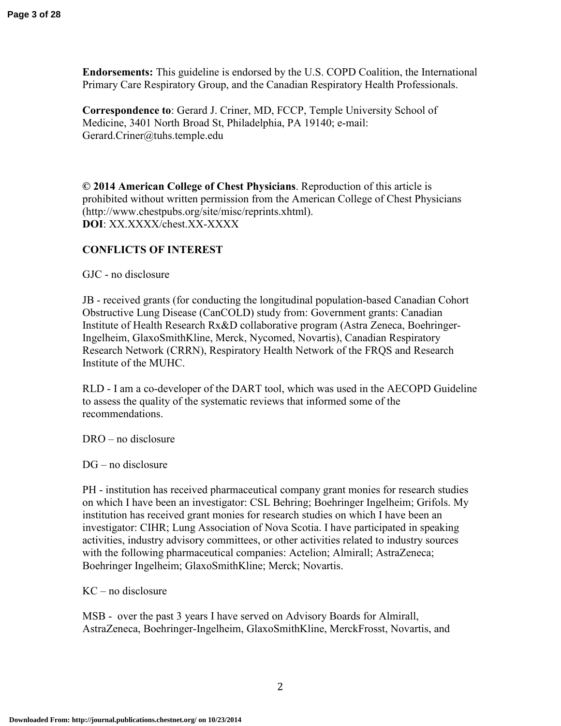**Endorsements:** This guideline is endorsed by the U.S. COPD Coalition, the International Primary Care Respiratory Group, and the Canadian Respiratory Health Professionals.

**Correspondence to**: Gerard J. Criner, MD, FCCP, Temple University School of Medicine, 3401 North Broad St, Philadelphia, PA 19140; e-mail: Gerard.Criner@tuhs.temple.edu

**© 2014 American College of Chest Physicians**. Reproduction of this article is prohibited without written permission from the American College of Chest Physicians (http://www.chestpubs.org/site/misc/reprints.xhtml). **DOI**: XX.XXXX/chest.XX-XXXX

## **CONFLICTS OF INTEREST**

GJC - no disclosure

JB - received grants (for conducting the longitudinal population-based Canadian Cohort Obstructive Lung Disease (CanCOLD) study from: Government grants: Canadian Institute of Health Research Rx&D collaborative program (Astra Zeneca, Boehringer-Ingelheim, GlaxoSmithKline, Merck, Nycomed, Novartis), Canadian Respiratory Research Network (CRRN), Respiratory Health Network of the FRQS and Research Institute of the MUHC.

RLD - I am a co-developer of the DART tool, which was used in the AECOPD Guideline to assess the quality of the systematic reviews that informed some of the recommendations.

DRO – no disclosure

DG – no disclosure

PH - institution has received pharmaceutical company grant monies for research studies on which I have been an investigator: CSL Behring; Boehringer Ingelheim; Grifols. My institution has received grant monies for research studies on which I have been an investigator: CIHR; Lung Association of Nova Scotia. I have participated in speaking activities, industry advisory committees, or other activities related to industry sources with the following pharmaceutical companies: Actelion; Almirall; AstraZeneca; Boehringer Ingelheim; GlaxoSmithKline; Merck; Novartis.

KC – no disclosure

MSB - over the past 3 years I have served on Advisory Boards for Almirall, AstraZeneca, Boehringer-Ingelheim, GlaxoSmithKline, MerckFrosst, Novartis, and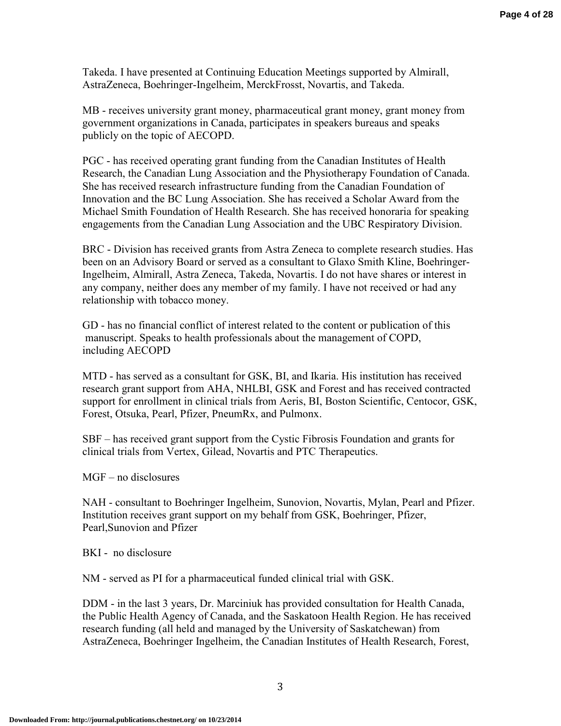Takeda. I have presented at Continuing Education Meetings supported by Almirall, AstraZeneca, Boehringer-Ingelheim, MerckFrosst, Novartis, and Takeda.

MB - receives university grant money, pharmaceutical grant money, grant money from government organizations in Canada, participates in speakers bureaus and speaks publicly on the topic of AECOPD.

PGC - has received operating grant funding from the Canadian Institutes of Health Research, the Canadian Lung Association and the Physiotherapy Foundation of Canada. She has received research infrastructure funding from the Canadian Foundation of Innovation and the BC Lung Association. She has received a Scholar Award from the Michael Smith Foundation of Health Research. She has received honoraria for speaking engagements from the Canadian Lung Association and the UBC Respiratory Division.

BRC - Division has received grants from Astra Zeneca to complete research studies. Has been on an Advisory Board or served as a consultant to Glaxo Smith Kline, Boehringer-Ingelheim, Almirall, Astra Zeneca, Takeda, Novartis. I do not have shares or interest in any company, neither does any member of my family. I have not received or had any relationship with tobacco money.

GD - has no financial conflict of interest related to the content or publication of this manuscript. Speaks to health professionals about the management of COPD, including AECOPD

MTD - has served as a consultant for GSK, BI, and Ikaria. His institution has received research grant support from AHA, NHLBI, GSK and Forest and has received contracted support for enrollment in clinical trials from Aeris, BI, Boston Scientific, Centocor, GSK, Forest, Otsuka, Pearl, Pfizer, PneumRx, and Pulmonx.

SBF – has received grant support from the Cystic Fibrosis Foundation and grants for clinical trials from Vertex, Gilead, Novartis and PTC Therapeutics.

MGF – no disclosures

NAH - consultant to Boehringer Ingelheim, Sunovion, Novartis, Mylan, Pearl and Pfizer. Institution receives grant support on my behalf from GSK, Boehringer, Pfizer, Pearl,Sunovion and Pfizer

BKI - no disclosure

NM - served as PI for a pharmaceutical funded clinical trial with GSK.

DDM - in the last 3 years, Dr. Marciniuk has provided consultation for Health Canada, the Public Health Agency of Canada, and the Saskatoon Health Region. He has received research funding (all held and managed by the University of Saskatchewan) from AstraZeneca, Boehringer Ingelheim, the Canadian Institutes of Health Research, Forest,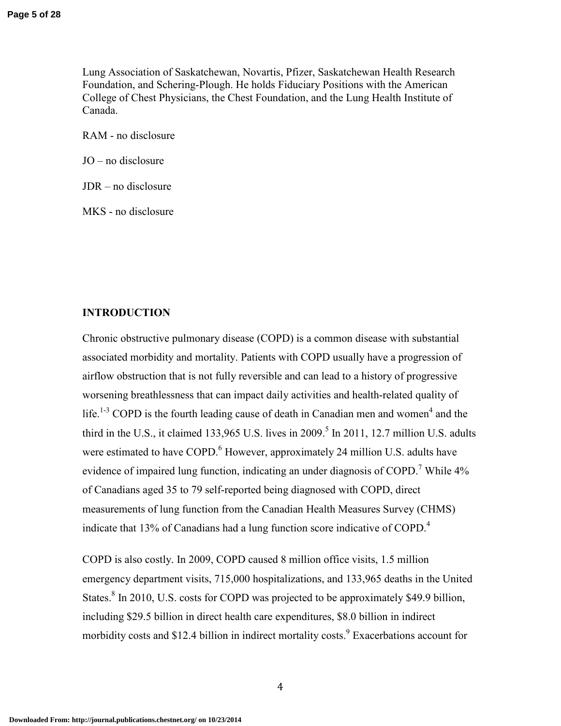Lung Association of Saskatchewan, Novartis, Pfizer, Saskatchewan Health Research Foundation, and Schering-Plough. He holds Fiduciary Positions with the American College of Chest Physicians, the Chest Foundation, and the Lung Health Institute of Canada.

RAM - no disclosure

JO – no disclosure

JDR – no disclosure

MKS - no disclosure

## **INTRODUCTION**

Chronic obstructive pulmonary disease (COPD) is a common disease with substantial associated morbidity and mortality. Patients with COPD usually have a progression of airflow obstruction that is not fully reversible and can lead to a history of progressive worsening breathlessness that can impact daily activities and health-related quality of life.<sup>1-3</sup> COPD is the fourth leading cause of death in Canadian men and women<sup>4</sup> and the third in the U.S., it claimed 133,965 U.S. lives in 2009.<sup>5</sup> In 2011, 12.7 million U.S. adults were estimated to have COPD.<sup>6</sup> However, approximately 24 million U.S. adults have evidence of impaired lung function, indicating an under diagnosis of COPD.<sup>7</sup> While  $4\%$ of Canadians aged 35 to 79 self-reported being diagnosed with COPD, direct measurements of lung function from the Canadian Health Measures Survey (CHMS) indicate that 13% of Canadians had a lung function score indicative of COPD.<sup>4</sup>

COPD is also costly. In 2009, COPD caused 8 million office visits, 1.5 million emergency department visits, 715,000 hospitalizations, and 133,965 deaths in the United States.<sup>8</sup> In 2010, U.S. costs for COPD was projected to be approximately \$49.9 billion, including \$29.5 billion in direct health care expenditures, \$8.0 billion in indirect morbidity costs and \$12.4 billion in indirect mortality costs.<sup>9</sup> Exacerbations account for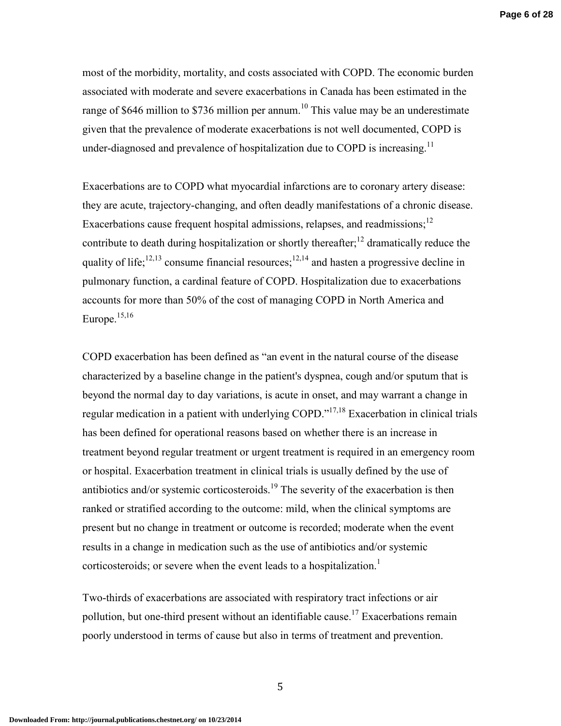most of the morbidity, mortality, and costs associated with COPD. The economic burden associated with moderate and severe exacerbations in Canada has been estimated in the range of \$646 million to \$736 million per annum.<sup>10</sup> This value may be an underestimate given that the prevalence of moderate exacerbations is not well documented, COPD is under-diagnosed and prevalence of hospitalization due to COPD is increasing.<sup>11</sup>

Exacerbations are to COPD what myocardial infarctions are to coronary artery disease: they are acute, trajectory-changing, and often deadly manifestations of a chronic disease. Exacerbations cause frequent hospital admissions, relapses, and readmissions;<sup>12</sup> contribute to death during hospitalization or shortly thereafter;<sup>12</sup> dramatically reduce the quality of life;<sup>12,13</sup> consume financial resources;<sup>12,14</sup> and hasten a progressive decline in pulmonary function, a cardinal feature of COPD. Hospitalization due to exacerbations accounts for more than 50% of the cost of managing COPD in North America and Europe.15,16

COPD exacerbation has been defined as "an event in the natural course of the disease characterized by a baseline change in the patient's dyspnea, cough and/or sputum that is beyond the normal day to day variations, is acute in onset, and may warrant a change in regular medication in a patient with underlying COPD."17,18 Exacerbation in clinical trials has been defined for operational reasons based on whether there is an increase in treatment beyond regular treatment or urgent treatment is required in an emergency room or hospital. Exacerbation treatment in clinical trials is usually defined by the use of antibiotics and/or systemic corticosteroids.<sup>19</sup> The severity of the exacerbation is then ranked or stratified according to the outcome: mild, when the clinical symptoms are present but no change in treatment or outcome is recorded; moderate when the event results in a change in medication such as the use of antibiotics and/or systemic corticosteroids; or severe when the event leads to a hospitalization.<sup>1</sup>

Two-thirds of exacerbations are associated with respiratory tract infections or air pollution, but one-third present without an identifiable cause.<sup>17</sup> Exacerbations remain poorly understood in terms of cause but also in terms of treatment and prevention.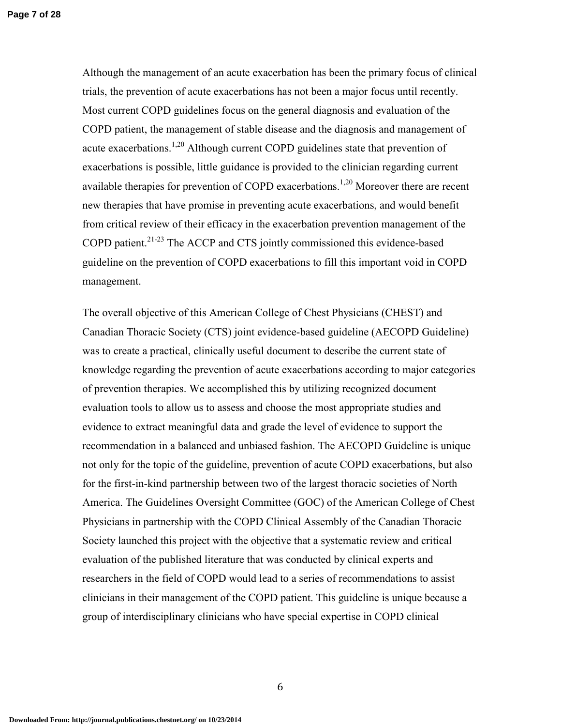Although the management of an acute exacerbation has been the primary focus of clinical trials, the prevention of acute exacerbations has not been a major focus until recently. Most current COPD guidelines focus on the general diagnosis and evaluation of the COPD patient, the management of stable disease and the diagnosis and management of acute exacerbations.<sup>1,20</sup> Although current COPD guidelines state that prevention of exacerbations is possible, little guidance is provided to the clinician regarding current available therapies for prevention of COPD exacerbations.<sup>1,20</sup> Moreover there are recent new therapies that have promise in preventing acute exacerbations, and would benefit from critical review of their efficacy in the exacerbation prevention management of the COPD patient.<sup>21-23</sup> The ACCP and CTS jointly commissioned this evidence-based guideline on the prevention of COPD exacerbations to fill this important void in COPD management.

The overall objective of this American College of Chest Physicians (CHEST) and Canadian Thoracic Society (CTS) joint evidence-based guideline (AECOPD Guideline) was to create a practical, clinically useful document to describe the current state of knowledge regarding the prevention of acute exacerbations according to major categories of prevention therapies. We accomplished this by utilizing recognized document evaluation tools to allow us to assess and choose the most appropriate studies and evidence to extract meaningful data and grade the level of evidence to support the recommendation in a balanced and unbiased fashion. The AECOPD Guideline is unique not only for the topic of the guideline, prevention of acute COPD exacerbations, but also for the first-in-kind partnership between two of the largest thoracic societies of North America. The Guidelines Oversight Committee (GOC) of the American College of Chest Physicians in partnership with the COPD Clinical Assembly of the Canadian Thoracic Society launched this project with the objective that a systematic review and critical evaluation of the published literature that was conducted by clinical experts and researchers in the field of COPD would lead to a series of recommendations to assist clinicians in their management of the COPD patient. This guideline is unique because a group of interdisciplinary clinicians who have special expertise in COPD clinical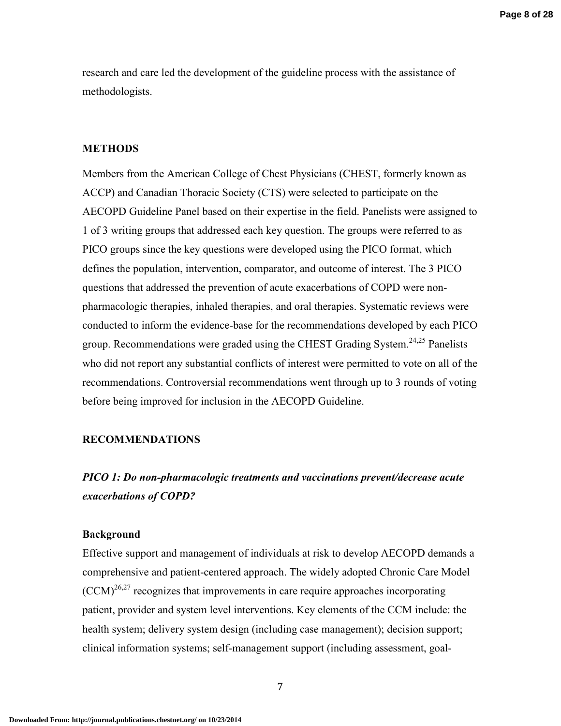research and care led the development of the guideline process with the assistance of methodologists.

## **METHODS**

Members from the American College of Chest Physicians (CHEST, formerly known as ACCP) and Canadian Thoracic Society (CTS) were selected to participate on the AECOPD Guideline Panel based on their expertise in the field. Panelists were assigned to 1 of 3 writing groups that addressed each key question. The groups were referred to as PICO groups since the key questions were developed using the PICO format, which defines the population, intervention, comparator, and outcome of interest. The 3 PICO questions that addressed the prevention of acute exacerbations of COPD were nonpharmacologic therapies, inhaled therapies, and oral therapies. Systematic reviews were conducted to inform the evidence-base for the recommendations developed by each PICO group. Recommendations were graded using the CHEST Grading System.<sup>24,25</sup> Panelists who did not report any substantial conflicts of interest were permitted to vote on all of the recommendations. Controversial recommendations went through up to 3 rounds of voting before being improved for inclusion in the AECOPD Guideline.

## **RECOMMENDATIONS**

## *PICO 1: Do non-pharmacologic treatments and vaccinations prevent/decrease acute exacerbations of COPD?*

## **Background**

Effective support and management of individuals at risk to develop AECOPD demands a comprehensive and patient-centered approach. The widely adopted Chronic Care Model  $(CCM)^{26,27}$  recognizes that improvements in care require approaches incorporating patient, provider and system level interventions. Key elements of the CCM include: the health system; delivery system design (including case management); decision support; clinical information systems; self-management support (including assessment, goal-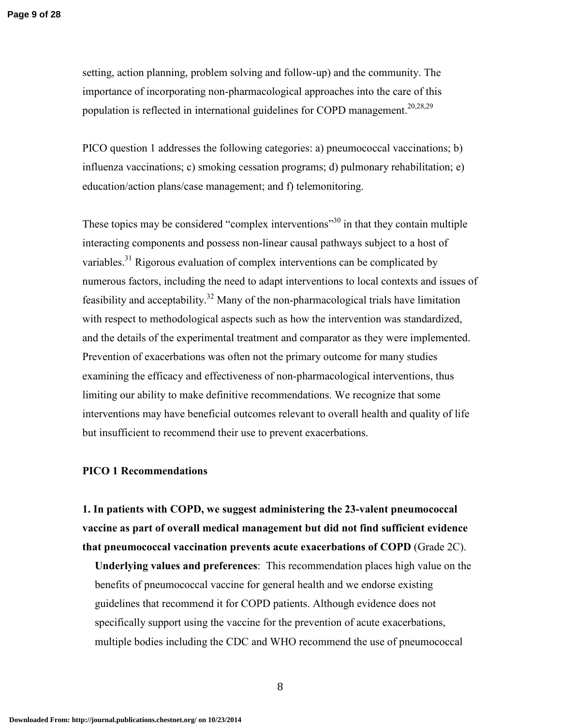setting, action planning, problem solving and follow-up) and the community. The importance of incorporating non-pharmacological approaches into the care of this population is reflected in international guidelines for COPD management.<sup>20,28,29</sup>

PICO question 1 addresses the following categories: a) pneumococcal vaccinations; b) influenza vaccinations; c) smoking cessation programs; d) pulmonary rehabilitation; e) education/action plans/case management; and f) telemonitoring.

These topics may be considered "complex interventions"<sup>30</sup> in that they contain multiple interacting components and possess non-linear causal pathways subject to a host of variables.<sup>31</sup> Rigorous evaluation of complex interventions can be complicated by numerous factors, including the need to adapt interventions to local contexts and issues of feasibility and acceptability.<sup>32</sup> Many of the non-pharmacological trials have limitation with respect to methodological aspects such as how the intervention was standardized, and the details of the experimental treatment and comparator as they were implemented. Prevention of exacerbations was often not the primary outcome for many studies examining the efficacy and effectiveness of non-pharmacological interventions, thus limiting our ability to make definitive recommendations. We recognize that some interventions may have beneficial outcomes relevant to overall health and quality of life but insufficient to recommend their use to prevent exacerbations.

## **PICO 1 Recommendations**

**1. In patients with COPD, we suggest administering the 23-valent pneumococcal vaccine as part of overall medical management but did not find sufficient evidence that pneumococcal vaccination prevents acute exacerbations of COPD** (Grade 2C).

**Underlying values and preferences**: This recommendation places high value on the benefits of pneumococcal vaccine for general health and we endorse existing guidelines that recommend it for COPD patients. Although evidence does not specifically support using the vaccine for the prevention of acute exacerbations, multiple bodies including the CDC and WHO recommend the use of pneumococcal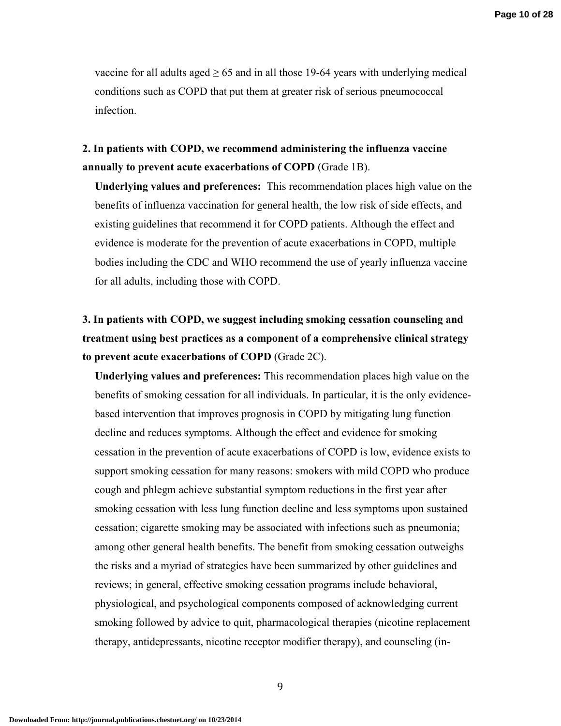vaccine for all adults aged  $\geq 65$  and in all those 19-64 years with underlying medical conditions such as COPD that put them at greater risk of serious pneumococcal infection.

**2. In patients with COPD, we recommend administering the influenza vaccine annually to prevent acute exacerbations of COPD** (Grade 1B).

**Underlying values and preferences:** This recommendation places high value on the benefits of influenza vaccination for general health, the low risk of side effects, and existing guidelines that recommend it for COPD patients. Although the effect and evidence is moderate for the prevention of acute exacerbations in COPD, multiple bodies including the CDC and WHO recommend the use of yearly influenza vaccine for all adults, including those with COPD.

**3. In patients with COPD, we suggest including smoking cessation counseling and treatment using best practices as a component of a comprehensive clinical strategy to prevent acute exacerbations of COPD** (Grade 2C).

**Underlying values and preferences:** This recommendation places high value on the benefits of smoking cessation for all individuals. In particular, it is the only evidencebased intervention that improves prognosis in COPD by mitigating lung function decline and reduces symptoms. Although the effect and evidence for smoking cessation in the prevention of acute exacerbations of COPD is low, evidence exists to support smoking cessation for many reasons: smokers with mild COPD who produce cough and phlegm achieve substantial symptom reductions in the first year after smoking cessation with less lung function decline and less symptoms upon sustained cessation; cigarette smoking may be associated with infections such as pneumonia; among other general health benefits. The benefit from smoking cessation outweighs the risks and a myriad of strategies have been summarized by other guidelines and reviews; in general, effective smoking cessation programs include behavioral, physiological, and psychological components composed of acknowledging current smoking followed by advice to quit, pharmacological therapies (nicotine replacement therapy, antidepressants, nicotine receptor modifier therapy), and counseling (in-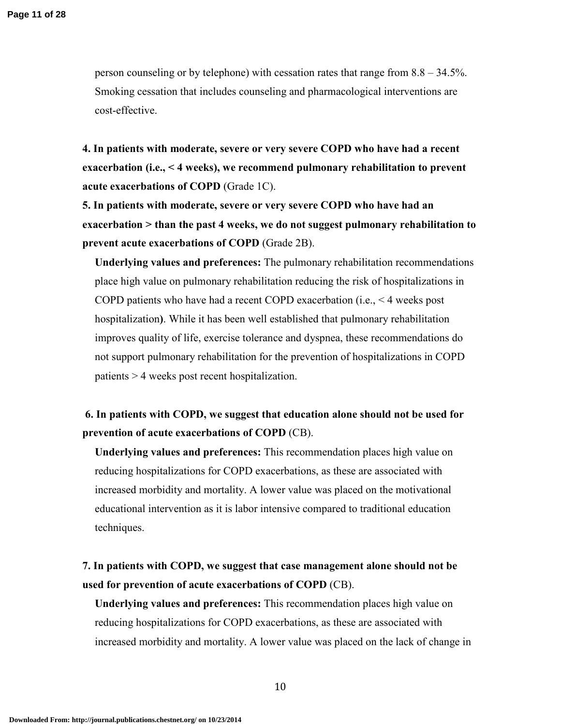person counseling or by telephone) with cessation rates that range from 8.8 – 34.5%. Smoking cessation that includes counseling and pharmacological interventions are cost-effective.

**4. In patients with moderate, severe or very severe COPD who have had a recent exacerbation (i.e., < 4 weeks), we recommend pulmonary rehabilitation to prevent acute exacerbations of COPD** (Grade 1C).

**5. In patients with moderate, severe or very severe COPD who have had an exacerbation > than the past 4 weeks, we do not suggest pulmonary rehabilitation to prevent acute exacerbations of COPD** (Grade 2B).

**Underlying values and preferences:** The pulmonary rehabilitation recommendations place high value on pulmonary rehabilitation reducing the risk of hospitalizations in COPD patients who have had a recent COPD exacerbation (i.e., < 4 weeks post hospitalization**)**. While it has been well established that pulmonary rehabilitation improves quality of life, exercise tolerance and dyspnea, these recommendations do not support pulmonary rehabilitation for the prevention of hospitalizations in COPD patients > 4 weeks post recent hospitalization.

## **6. In patients with COPD, we suggest that education alone should not be used for prevention of acute exacerbations of COPD** (CB).

**Underlying values and preferences:** This recommendation places high value on reducing hospitalizations for COPD exacerbations, as these are associated with increased morbidity and mortality. A lower value was placed on the motivational educational intervention as it is labor intensive compared to traditional education techniques.

## **7. In patients with COPD, we suggest that case management alone should not be used for prevention of acute exacerbations of COPD** (CB).

**Underlying values and preferences:** This recommendation places high value on reducing hospitalizations for COPD exacerbations, as these are associated with increased morbidity and mortality. A lower value was placed on the lack of change in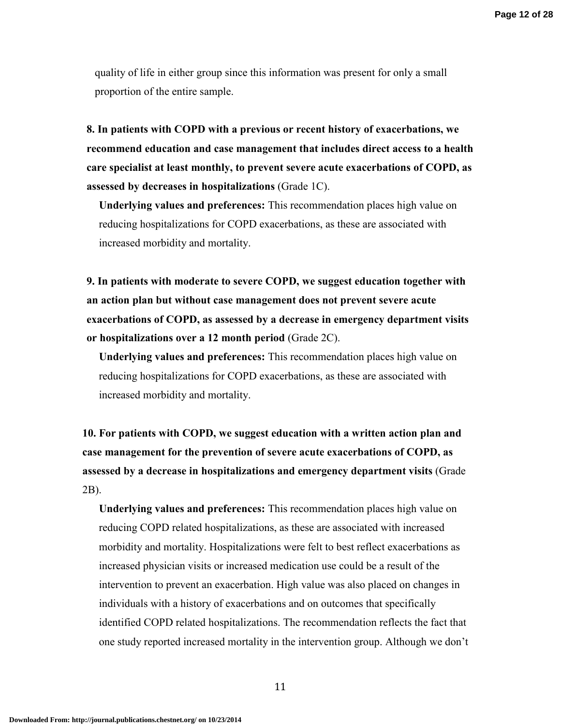quality of life in either group since this information was present for only a small proportion of the entire sample.

**8. In patients with COPD with a previous or recent history of exacerbations, we recommend education and case management that includes direct access to a health care specialist at least monthly, to prevent severe acute exacerbations of COPD, as assessed by decreases in hospitalizations** (Grade 1C).

**Underlying values and preferences:** This recommendation places high value on reducing hospitalizations for COPD exacerbations, as these are associated with increased morbidity and mortality.

**9. In patients with moderate to severe COPD, we suggest education together with an action plan but without case management does not prevent severe acute exacerbations of COPD, as assessed by a decrease in emergency department visits or hospitalizations over a 12 month period** (Grade 2C).

**Underlying values and preferences:** This recommendation places high value on reducing hospitalizations for COPD exacerbations, as these are associated with increased morbidity and mortality.

**10. For patients with COPD, we suggest education with a written action plan and case management for the prevention of severe acute exacerbations of COPD, as assessed by a decrease in hospitalizations and emergency department visits** (Grade 2B).

**Underlying values and preferences:** This recommendation places high value on reducing COPD related hospitalizations, as these are associated with increased morbidity and mortality. Hospitalizations were felt to best reflect exacerbations as increased physician visits or increased medication use could be a result of the intervention to prevent an exacerbation. High value was also placed on changes in individuals with a history of exacerbations and on outcomes that specifically identified COPD related hospitalizations. The recommendation reflects the fact that one study reported increased mortality in the intervention group. Although we don't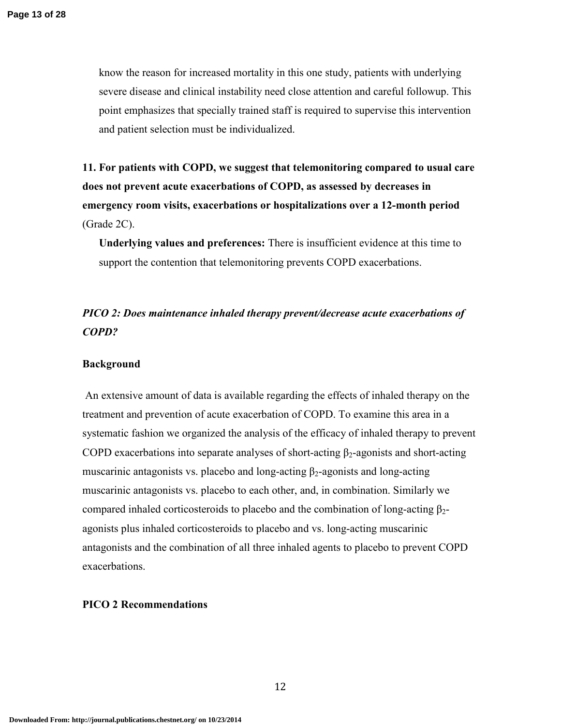know the reason for increased mortality in this one study, patients with underlying severe disease and clinical instability need close attention and careful followup. This point emphasizes that specially trained staff is required to supervise this intervention and patient selection must be individualized.

**11. For patients with COPD, we suggest that telemonitoring compared to usual care does not prevent acute exacerbations of COPD, as assessed by decreases in emergency room visits, exacerbations or hospitalizations over a 12-month period**  (Grade 2C).

**Underlying values and preferences:** There is insufficient evidence at this time to support the contention that telemonitoring prevents COPD exacerbations.

## *PICO 2: Does maintenance inhaled therapy prevent/decrease acute exacerbations of COPD?*

#### **Background**

 An extensive amount of data is available regarding the effects of inhaled therapy on the treatment and prevention of acute exacerbation of COPD. To examine this area in a systematic fashion we organized the analysis of the efficacy of inhaled therapy to prevent COPD exacerbations into separate analyses of short-acting  $\beta_2$ -agonists and short-acting muscarinic antagonists vs. placebo and long-acting  $\beta_2$ -agonists and long-acting muscarinic antagonists vs. placebo to each other, and, in combination. Similarly we compared inhaled corticosteroids to placebo and the combination of long-acting  $β<sub>2</sub>$ agonists plus inhaled corticosteroids to placebo and vs. long-acting muscarinic antagonists and the combination of all three inhaled agents to placebo to prevent COPD exacerbations.

#### **PICO 2 Recommendations**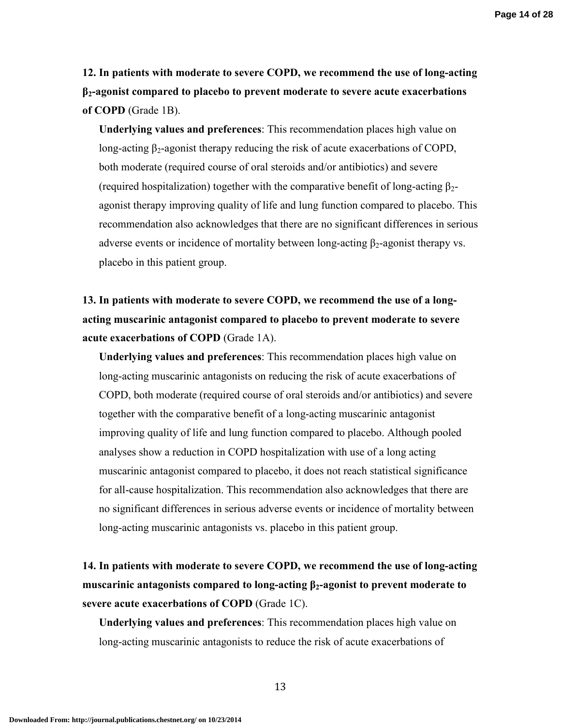**Page 14 of 28**

**12. In patients with moderate to severe COPD, we recommend the use of long-acting β2-agonist compared to placebo to prevent moderate to severe acute exacerbations of COPD** (Grade 1B).

**Underlying values and preferences**: This recommendation places high value on long-acting  $\beta_2$ -agonist therapy reducing the risk of acute exacerbations of COPD, both moderate (required course of oral steroids and/or antibiotics) and severe (required hospitalization) together with the comparative benefit of long-acting  $\beta_2$ agonist therapy improving quality of life and lung function compared to placebo. This recommendation also acknowledges that there are no significant differences in serious adverse events or incidence of mortality between long-acting  $\beta_2$ -agonist therapy vs. placebo in this patient group.

**13. In patients with moderate to severe COPD, we recommend the use of a longacting muscarinic antagonist compared to placebo to prevent moderate to severe acute exacerbations of COPD** (Grade 1A).

**Underlying values and preferences**: This recommendation places high value on long-acting muscarinic antagonists on reducing the risk of acute exacerbations of COPD, both moderate (required course of oral steroids and/or antibiotics) and severe together with the comparative benefit of a long-acting muscarinic antagonist improving quality of life and lung function compared to placebo. Although pooled analyses show a reduction in COPD hospitalization with use of a long acting muscarinic antagonist compared to placebo, it does not reach statistical significance for all-cause hospitalization. This recommendation also acknowledges that there are no significant differences in serious adverse events or incidence of mortality between long-acting muscarinic antagonists vs. placebo in this patient group.

**14. In patients with moderate to severe COPD, we recommend the use of long-acting muscarinic antagonists compared to long-acting β2-agonist to prevent moderate to severe acute exacerbations of COPD** (Grade 1C).

**Underlying values and preferences**: This recommendation places high value on long-acting muscarinic antagonists to reduce the risk of acute exacerbations of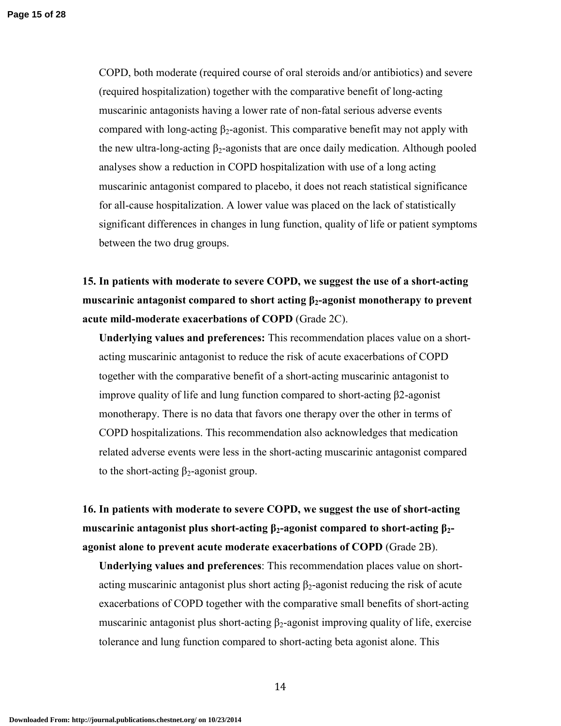COPD, both moderate (required course of oral steroids and/or antibiotics) and severe (required hospitalization) together with the comparative benefit of long-acting muscarinic antagonists having a lower rate of non-fatal serious adverse events compared with long-acting  $\beta_2$ -agonist. This comparative benefit may not apply with the new ultra-long-acting  $\beta_2$ -agonists that are once daily medication. Although pooled analyses show a reduction in COPD hospitalization with use of a long acting muscarinic antagonist compared to placebo, it does not reach statistical significance for all-cause hospitalization. A lower value was placed on the lack of statistically significant differences in changes in lung function, quality of life or patient symptoms between the two drug groups.

**15. In patients with moderate to severe COPD, we suggest the use of a short-acting muscarinic antagonist compared to short acting β2-agonist monotherapy to prevent acute mild-moderate exacerbations of COPD** (Grade 2C).

**Underlying values and preferences:** This recommendation places value on a shortacting muscarinic antagonist to reduce the risk of acute exacerbations of COPD together with the comparative benefit of a short-acting muscarinic antagonist to improve quality of life and lung function compared to short-acting β2-agonist monotherapy. There is no data that favors one therapy over the other in terms of COPD hospitalizations. This recommendation also acknowledges that medication related adverse events were less in the short-acting muscarinic antagonist compared to the short-acting  $\beta_2$ -agonist group.

**16. In patients with moderate to severe COPD, we suggest the use of short-acting muscarinic antagonist plus short-acting β2-agonist compared to short-acting β2 agonist alone to prevent acute moderate exacerbations of COPD** (Grade 2B).

**Underlying values and preferences**: This recommendation places value on shortacting muscarinic antagonist plus short acting  $\beta_2$ -agonist reducing the risk of acute exacerbations of COPD together with the comparative small benefits of short-acting muscarinic antagonist plus short-acting  $\beta_2$ -agonist improving quality of life, exercise tolerance and lung function compared to short-acting beta agonist alone. This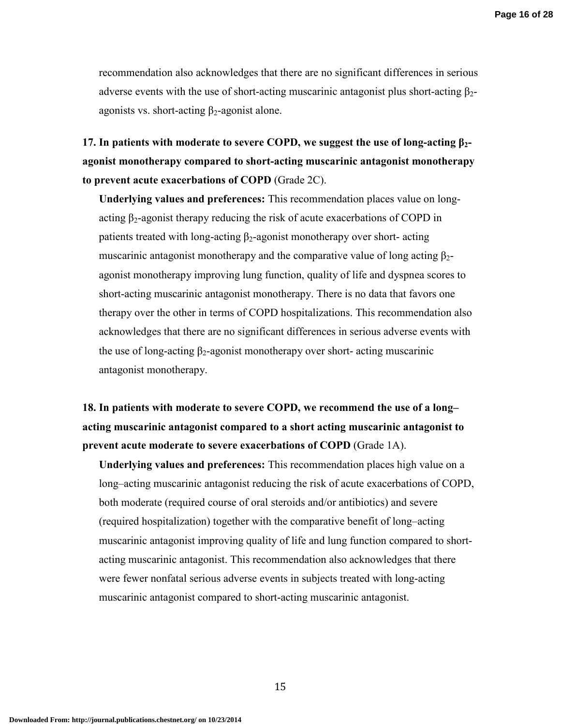recommendation also acknowledges that there are no significant differences in serious adverse events with the use of short-acting muscarinic antagonist plus short-acting  $\beta_{2}$ agonists vs. short-acting  $\beta_2$ -agonist alone.

**17. In patients with moderate to severe COPD, we suggest the use of long-acting β2 agonist monotherapy compared to short-acting muscarinic antagonist monotherapy to prevent acute exacerbations of COPD** (Grade 2C).

**Underlying values and preferences:** This recommendation places value on longacting  $\beta_2$ -agonist therapy reducing the risk of acute exacerbations of COPD in patients treated with long-acting  $\beta_2$ -agonist monotherapy over short- acting muscarinic antagonist monotherapy and the comparative value of long acting  $\beta_{2}$ agonist monotherapy improving lung function, quality of life and dyspnea scores to short-acting muscarinic antagonist monotherapy. There is no data that favors one therapy over the other in terms of COPD hospitalizations. This recommendation also acknowledges that there are no significant differences in serious adverse events with the use of long-acting  $\beta_2$ -agonist monotherapy over short-acting muscarinic antagonist monotherapy.

**18. In patients with moderate to severe COPD, we recommend the use of a long– acting muscarinic antagonist compared to a short acting muscarinic antagonist to prevent acute moderate to severe exacerbations of COPD** (Grade 1A).

**Underlying values and preferences:** This recommendation places high value on a long–acting muscarinic antagonist reducing the risk of acute exacerbations of COPD, both moderate (required course of oral steroids and/or antibiotics) and severe (required hospitalization) together with the comparative benefit of long–acting muscarinic antagonist improving quality of life and lung function compared to shortacting muscarinic antagonist. This recommendation also acknowledges that there were fewer nonfatal serious adverse events in subjects treated with long-acting muscarinic antagonist compared to short-acting muscarinic antagonist.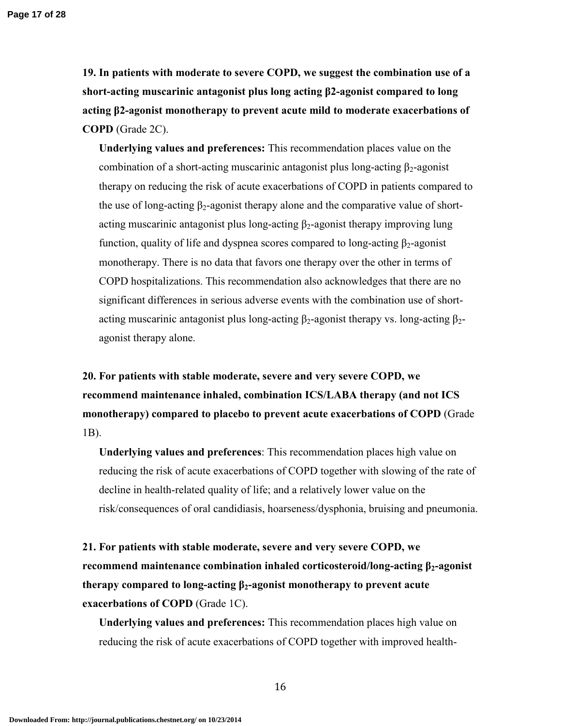**Page 17 of 28**

**19. In patients with moderate to severe COPD, we suggest the combination use of a short-acting muscarinic antagonist plus long acting β2-agonist compared to long acting β2-agonist monotherapy to prevent acute mild to moderate exacerbations of COPD** (Grade 2C).

**Underlying values and preferences:** This recommendation places value on the combination of a short-acting muscarinic antagonist plus long-acting  $\beta_2$ -agonist therapy on reducing the risk of acute exacerbations of COPD in patients compared to the use of long-acting  $\beta_2$ -agonist therapy alone and the comparative value of shortacting muscarinic antagonist plus long-acting  $\beta_2$ -agonist therapy improving lung function, quality of life and dyspnea scores compared to long-acting  $\beta_2$ -agonist monotherapy. There is no data that favors one therapy over the other in terms of COPD hospitalizations. This recommendation also acknowledges that there are no significant differences in serious adverse events with the combination use of shortacting muscarinic antagonist plus long-acting  $\beta_2$ -agonist therapy vs. long-acting  $\beta_2$ agonist therapy alone.

**20. For patients with stable moderate, severe and very severe COPD, we recommend maintenance inhaled, combination ICS/LABA therapy (and not ICS monotherapy) compared to placebo to prevent acute exacerbations of COPD** (Grade 1B).

**Underlying values and preferences**: This recommendation places high value on reducing the risk of acute exacerbations of COPD together with slowing of the rate of decline in health-related quality of life; and a relatively lower value on the risk/consequences of oral candidiasis, hoarseness/dysphonia, bruising and pneumonia.

**21. For patients with stable moderate, severe and very severe COPD, we recommend maintenance combination inhaled corticosteroid/long-acting β2-agonist therapy compared to long-acting β2-agonist monotherapy to prevent acute exacerbations of COPD** (Grade 1C).

**Underlying values and preferences:** This recommendation places high value on reducing the risk of acute exacerbations of COPD together with improved health-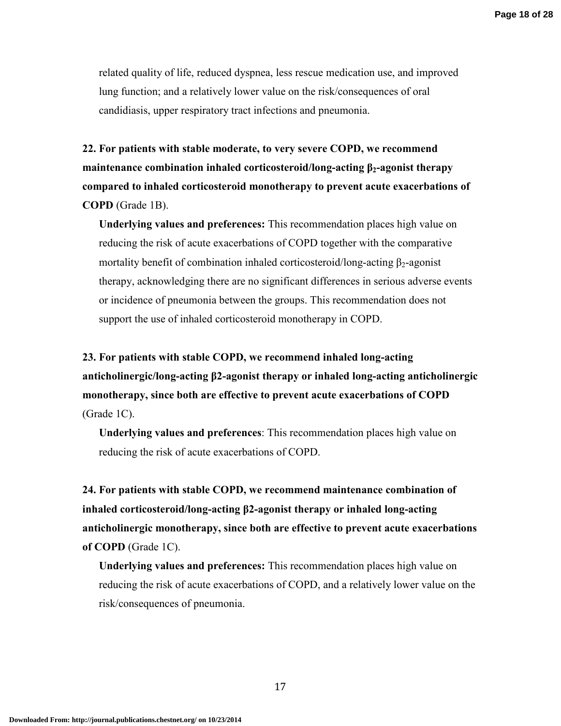related quality of life, reduced dyspnea, less rescue medication use, and improved lung function; and a relatively lower value on the risk/consequences of oral candidiasis, upper respiratory tract infections and pneumonia.

**22. For patients with stable moderate, to very severe COPD, we recommend maintenance combination inhaled corticosteroid/long-acting β2-agonist therapy compared to inhaled corticosteroid monotherapy to prevent acute exacerbations of COPD** (Grade 1B).

**Underlying values and preferences:** This recommendation places high value on reducing the risk of acute exacerbations of COPD together with the comparative mortality benefit of combination inhaled corticosteroid/long-acting  $\beta_2$ -agonist therapy, acknowledging there are no significant differences in serious adverse events or incidence of pneumonia between the groups. This recommendation does not support the use of inhaled corticosteroid monotherapy in COPD.

**23. For patients with stable COPD, we recommend inhaled long-acting anticholinergic/long-acting β2-agonist therapy or inhaled long-acting anticholinergic monotherapy, since both are effective to prevent acute exacerbations of COPD**  (Grade 1C).

**Underlying values and preferences**: This recommendation places high value on reducing the risk of acute exacerbations of COPD.

**24. For patients with stable COPD, we recommend maintenance combination of inhaled corticosteroid/long-acting β2-agonist therapy or inhaled long-acting anticholinergic monotherapy, since both are effective to prevent acute exacerbations of COPD** (Grade 1C).

**Underlying values and preferences:** This recommendation places high value on reducing the risk of acute exacerbations of COPD, and a relatively lower value on the risk/consequences of pneumonia.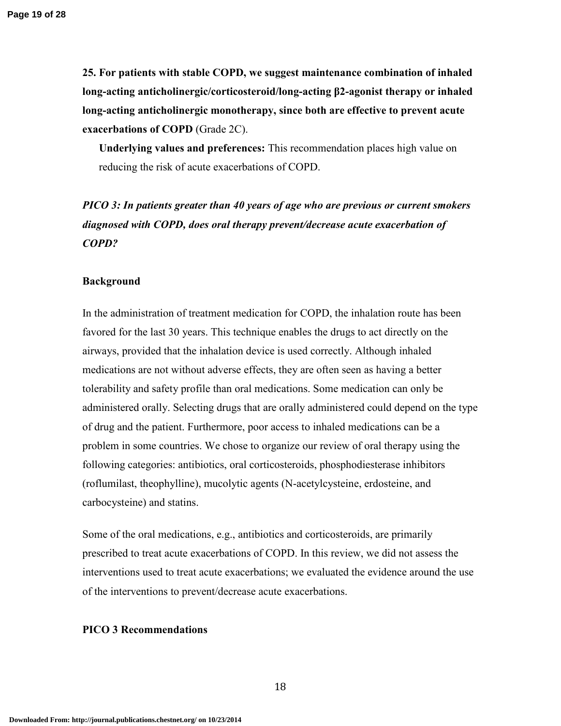**25. For patients with stable COPD, we suggest maintenance combination of inhaled long-acting anticholinergic/corticosteroid/long-acting β2-agonist therapy or inhaled long-acting anticholinergic monotherapy, since both are effective to prevent acute exacerbations of COPD** (Grade 2C).

**Underlying values and preferences:** This recommendation places high value on reducing the risk of acute exacerbations of COPD.

## *PICO 3: In patients greater than 40 years of age who are previous or current smokers diagnosed with COPD, does oral therapy prevent/decrease acute exacerbation of COPD?*

## **Background**

In the administration of treatment medication for COPD, the inhalation route has been favored for the last 30 years. This technique enables the drugs to act directly on the airways, provided that the inhalation device is used correctly. Although inhaled medications are not without adverse effects, they are often seen as having a better tolerability and safety profile than oral medications. Some medication can only be administered orally. Selecting drugs that are orally administered could depend on the type of drug and the patient. Furthermore, poor access to inhaled medications can be a problem in some countries. We chose to organize our review of oral therapy using the following categories: antibiotics, oral corticosteroids, phosphodiesterase inhibitors (roflumilast, theophylline), mucolytic agents (N-acetylcysteine, erdosteine, and carbocysteine) and statins.

Some of the oral medications, e.g., antibiotics and corticosteroids, are primarily prescribed to treat acute exacerbations of COPD. In this review, we did not assess the interventions used to treat acute exacerbations; we evaluated the evidence around the use of the interventions to prevent/decrease acute exacerbations.

#### **PICO 3 Recommendations**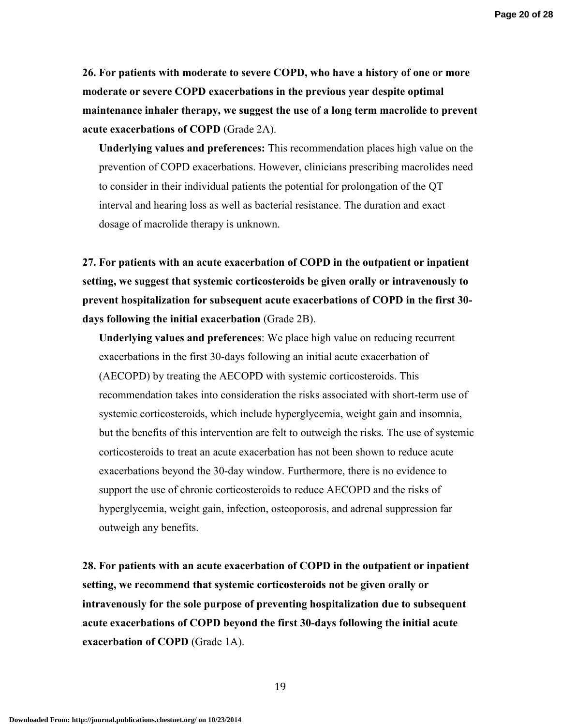**26. For patients with moderate to severe COPD, who have a history of one or more moderate or severe COPD exacerbations in the previous year despite optimal maintenance inhaler therapy, we suggest the use of a long term macrolide to prevent acute exacerbations of COPD** (Grade 2A).

**Underlying values and preferences:** This recommendation places high value on the prevention of COPD exacerbations. However, clinicians prescribing macrolides need to consider in their individual patients the potential for prolongation of the QT interval and hearing loss as well as bacterial resistance. The duration and exact dosage of macrolide therapy is unknown.

**27. For patients with an acute exacerbation of COPD in the outpatient or inpatient setting, we suggest that systemic corticosteroids be given orally or intravenously to prevent hospitalization for subsequent acute exacerbations of COPD in the first 30 days following the initial exacerbation** (Grade 2B).

**Underlying values and preferences**: We place high value on reducing recurrent exacerbations in the first 30-days following an initial acute exacerbation of (AECOPD) by treating the AECOPD with systemic corticosteroids. This recommendation takes into consideration the risks associated with short-term use of systemic corticosteroids, which include hyperglycemia, weight gain and insomnia, but the benefits of this intervention are felt to outweigh the risks. The use of systemic corticosteroids to treat an acute exacerbation has not been shown to reduce acute exacerbations beyond the 30-day window. Furthermore, there is no evidence to support the use of chronic corticosteroids to reduce AECOPD and the risks of hyperglycemia, weight gain, infection, osteoporosis, and adrenal suppression far outweigh any benefits.

**28. For patients with an acute exacerbation of COPD in the outpatient or inpatient setting, we recommend that systemic corticosteroids not be given orally or intravenously for the sole purpose of preventing hospitalization due to subsequent acute exacerbations of COPD beyond the first 30-days following the initial acute exacerbation of COPD** (Grade 1A).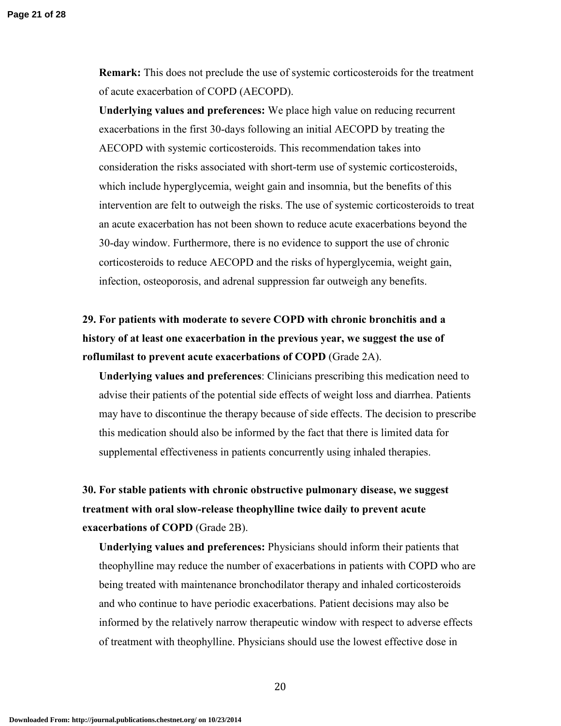**Remark:** This does not preclude the use of systemic corticosteroids for the treatment of acute exacerbation of COPD (AECOPD).

**Underlying values and preferences:** We place high value on reducing recurrent exacerbations in the first 30-days following an initial AECOPD by treating the AECOPD with systemic corticosteroids. This recommendation takes into consideration the risks associated with short-term use of systemic corticosteroids, which include hyperglycemia, weight gain and insomnia, but the benefits of this intervention are felt to outweigh the risks. The use of systemic corticosteroids to treat an acute exacerbation has not been shown to reduce acute exacerbations beyond the 30-day window. Furthermore, there is no evidence to support the use of chronic corticosteroids to reduce AECOPD and the risks of hyperglycemia, weight gain, infection, osteoporosis, and adrenal suppression far outweigh any benefits.

**29. For patients with moderate to severe COPD with chronic bronchitis and a history of at least one exacerbation in the previous year, we suggest the use of roflumilast to prevent acute exacerbations of COPD** (Grade 2A).

**Underlying values and preferences**: Clinicians prescribing this medication need to advise their patients of the potential side effects of weight loss and diarrhea. Patients may have to discontinue the therapy because of side effects. The decision to prescribe this medication should also be informed by the fact that there is limited data for supplemental effectiveness in patients concurrently using inhaled therapies.

**30. For stable patients with chronic obstructive pulmonary disease, we suggest treatment with oral slow-release theophylline twice daily to prevent acute exacerbations of COPD** (Grade 2B).

**Underlying values and preferences:** Physicians should inform their patients that theophylline may reduce the number of exacerbations in patients with COPD who are being treated with maintenance bronchodilator therapy and inhaled corticosteroids and who continue to have periodic exacerbations. Patient decisions may also be informed by the relatively narrow therapeutic window with respect to adverse effects of treatment with theophylline. Physicians should use the lowest effective dose in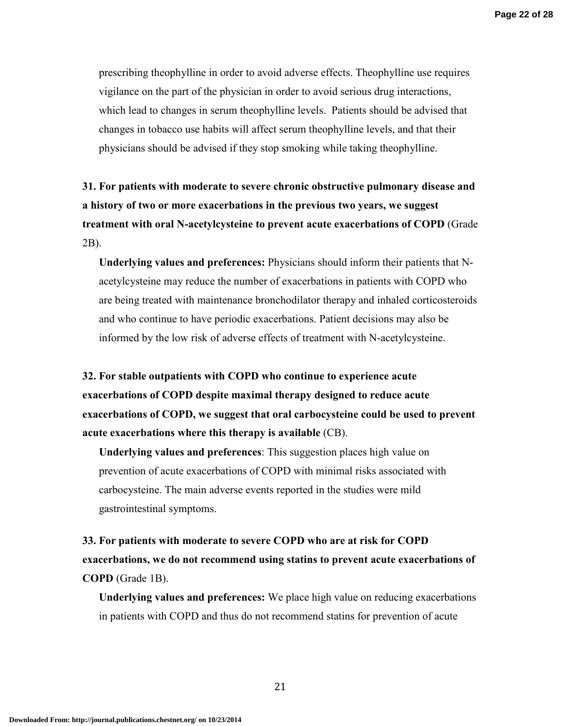prescribing theophylline in order to avoid adverse effects. Theophylline use requires vigilance on the part of the physician in order to avoid serious drug interactions, which lead to changes in serum theophylline levels. Patients should be advised that changes in tobacco use habits will affect serum theophylline levels, and that their physicians should be advised if they stop smoking while taking theophylline.

**31. For patients with moderate to severe chronic obstructive pulmonary disease and a history of two or more exacerbations in the previous two years, we suggest treatment with oral N-acetylcysteine to prevent acute exacerbations of COPD** (Grade 2B).

**Underlying values and preferences:** Physicians should inform their patients that Nacetylcysteine may reduce the number of exacerbations in patients with COPD who are being treated with maintenance bronchodilator therapy and inhaled corticosteroids and who continue to have periodic exacerbations. Patient decisions may also be informed by the low risk of adverse effects of treatment with N-acetylcysteine.

**32. For stable outpatients with COPD who continue to experience acute exacerbations of COPD despite maximal therapy designed to reduce acute exacerbations of COPD, we suggest that oral carbocysteine could be used to prevent acute exacerbations where this therapy is available** (CB).

**Underlying values and preferences**: This suggestion places high value on prevention of acute exacerbations of COPD with minimal risks associated with carbocysteine. The main adverse events reported in the studies were mild gastrointestinal symptoms.

**33. For patients with moderate to severe COPD who are at risk for COPD exacerbations, we do not recommend using statins to prevent acute exacerbations of COPD** (Grade 1B).

**Underlying values and preferences:** We place high value on reducing exacerbations in patients with COPD and thus do not recommend statins for prevention of acute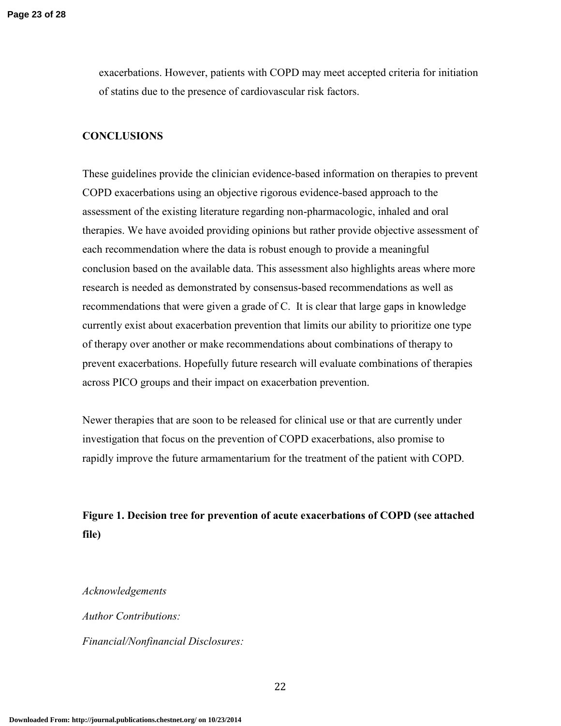exacerbations. However, patients with COPD may meet accepted criteria for initiation of statins due to the presence of cardiovascular risk factors.

## **CONCLUSIONS**

These guidelines provide the clinician evidence-based information on therapies to prevent COPD exacerbations using an objective rigorous evidence-based approach to the assessment of the existing literature regarding non-pharmacologic, inhaled and oral therapies. We have avoided providing opinions but rather provide objective assessment of each recommendation where the data is robust enough to provide a meaningful conclusion based on the available data. This assessment also highlights areas where more research is needed as demonstrated by consensus-based recommendations as well as recommendations that were given a grade of C. It is clear that large gaps in knowledge currently exist about exacerbation prevention that limits our ability to prioritize one type of therapy over another or make recommendations about combinations of therapy to prevent exacerbations. Hopefully future research will evaluate combinations of therapies across PICO groups and their impact on exacerbation prevention.

Newer therapies that are soon to be released for clinical use or that are currently under investigation that focus on the prevention of COPD exacerbations, also promise to rapidly improve the future armamentarium for the treatment of the patient with COPD.

## **Figure 1. Decision tree for prevention of acute exacerbations of COPD (see attached file)**

#### *Acknowledgements*

*Author Contributions: Financial/Nonfinancial Disclosures:*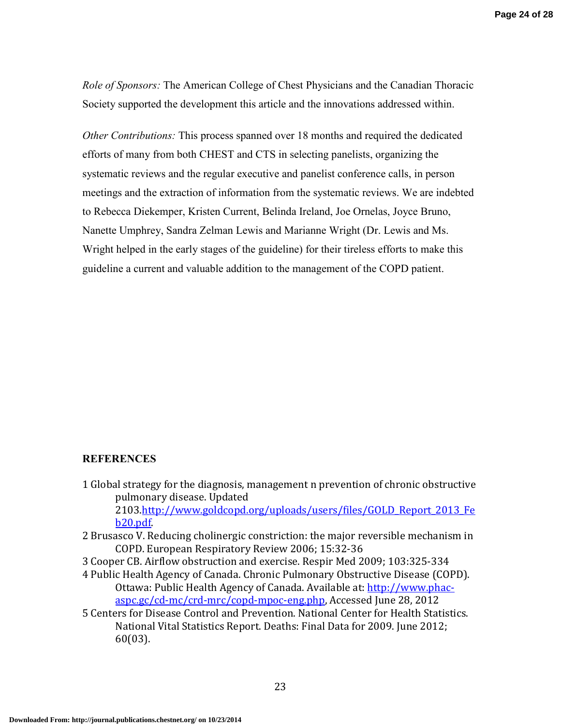*Role of Sponsors:* The American College of Chest Physicians and the Canadian Thoracic Society supported the development this article and the innovations addressed within.

*Other Contributions:* This process spanned over 18 months and required the dedicated efforts of many from both CHEST and CTS in selecting panelists, organizing the systematic reviews and the regular executive and panelist conference calls, in person meetings and the extraction of information from the systematic reviews. We are indebted to Rebecca Diekemper, Kristen Current, Belinda Ireland, Joe Ornelas, Joyce Bruno, Nanette Umphrey, Sandra Zelman Lewis and Marianne Wright (Dr. Lewis and Ms. Wright helped in the early stages of the guideline) for their tireless efforts to make this guideline a current and valuable addition to the management of the COPD patient.

#### **REFERENCES**

- 1 Global strategy for the diagnosis, management n prevention of chronic obstructive pulmonary disease. Updated 2103.http://www.goldcopd.org/uploads/users/files/GOLD\_Report\_2013\_Fe b20.pdf.
- 2 Brusasco V. Reducing cholinergic constriction: the major reversible mechanism in COPD. European Respiratory Review 2006; 15:32-36
- 3 Cooper CB. Airflow obstruction and exercise. Respir Med 2009; 103:325-334
- 4 Public Health Agency of Canada. Chronic Pulmonary Obstructive Disease (COPD). Ottawa: Public Health Agency of Canada. Available at: http://www.phacaspc.gc/cd-mc/crd-mrc/copd-mpoc-eng.php, Accessed June 28, 2012
- 5 Centers for Disease Control and Prevention. National Center for Health Statistics. National Vital Statistics Report. Deaths: Final Data for 2009. June 2012; 60(03).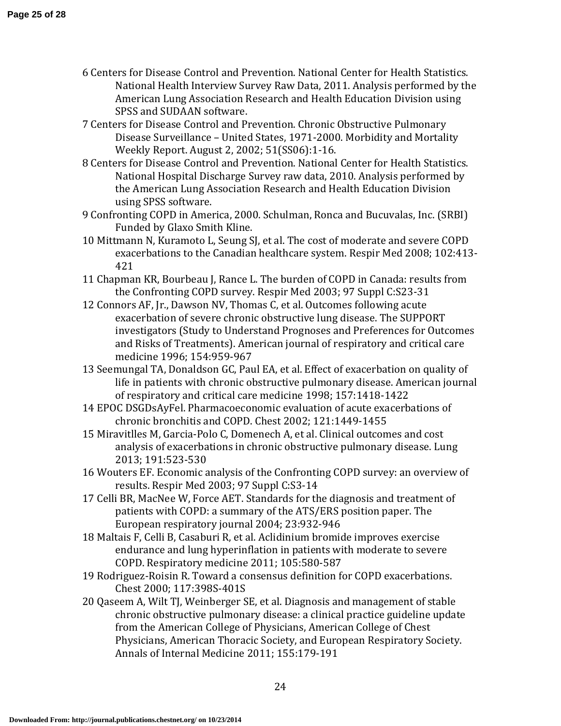- 6 Centers for Disease Control and Prevention. National Center for Health Statistics. National Health Interview Survey Raw Data, 2011. Analysis performed by the American Lung Association Research and Health Education Division using SPSS and SUDAAN software.
- 7 Centers for Disease Control and Prevention. Chronic Obstructive Pulmonary Disease Surveillance – United States, 1971-2000. Morbidity and Mortality Weekly Report. August 2, 2002; 51(SS06):1-16.
- 8 Centers for Disease Control and Prevention. National Center for Health Statistics. National Hospital Discharge Survey raw data, 2010. Analysis performed by the American Lung Association Research and Health Education Division using SPSS software.
- 9 Confronting COPD in America, 2000. Schulman, Ronca and Bucuvalas, Inc. (SRBI) Funded by Glaxo Smith Kline.
- 10 Mittmann N, Kuramoto L, Seung SJ, et al. The cost of moderate and severe COPD exacerbations to the Canadian healthcare system. Respir Med 2008; 102:413- 421
- 11 Chapman KR, Bourbeau J, Rance L. The burden of COPD in Canada: results from the Confronting COPD survey. Respir Med 2003; 97 Suppl C:S23-31
- 12 Connors AF, Jr., Dawson NV, Thomas C, et al. Outcomes following acute exacerbation of severe chronic obstructive lung disease. The SUPPORT investigators (Study to Understand Prognoses and Preferences for Outcomes and Risks of Treatments). American journal of respiratory and critical care medicine 1996; 154:959-967
- 13 Seemungal TA, Donaldson GC, Paul EA, et al. Effect of exacerbation on quality of life in patients with chronic obstructive pulmonary disease. American journal of respiratory and critical care medicine 1998; 157:1418-1422
- 14 EPOC DSGDsAyFel. Pharmacoeconomic evaluation of acute exacerbations of chronic bronchitis and COPD. Chest 2002; 121:1449-1455
- 15 Miravitlles M, Garcia-Polo C, Domenech A, et al. Clinical outcomes and cost analysis of exacerbations in chronic obstructive pulmonary disease. Lung 2013; 191:523-530
- 16 Wouters EF. Economic analysis of the Confronting COPD survey: an overview of results. Respir Med 2003; 97 Suppl C:S3-14
- 17 Celli BR, MacNee W, Force AET. Standards for the diagnosis and treatment of patients with COPD: a summary of the ATS/ERS position paper. The European respiratory journal 2004; 23:932-946
- 18 Maltais F, Celli B, Casaburi R, et al. Aclidinium bromide improves exercise endurance and lung hyperinflation in patients with moderate to severe COPD. Respiratory medicine 2011; 105:580-587
- 19 Rodriguez-Roisin R. Toward a consensus definition for COPD exacerbations. Chest 2000; 117:398S-401S
- 20 Qaseem A, Wilt TJ, Weinberger SE, et al. Diagnosis and management of stable chronic obstructive pulmonary disease: a clinical practice guideline update from the American College of Physicians, American College of Chest Physicians, American Thoracic Society, and European Respiratory Society. Annals of Internal Medicine 2011; 155:179-191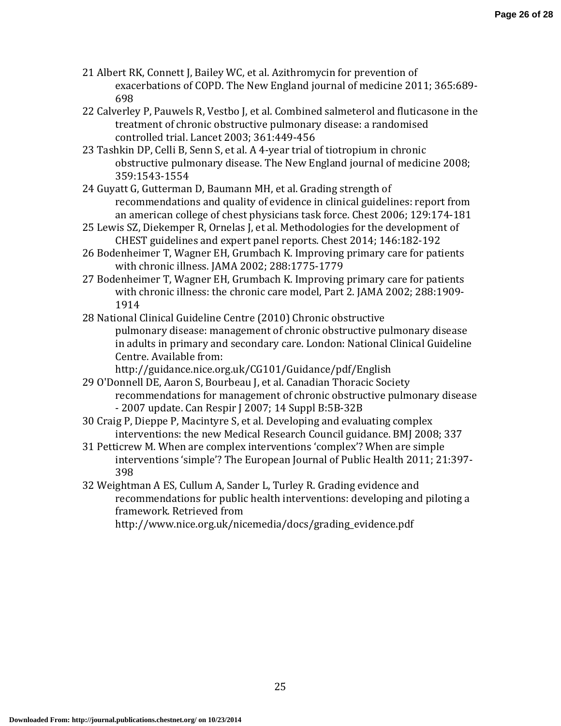- 21 Albert RK, Connett J, Bailey WC, et al. Azithromycin for prevention of exacerbations of COPD. The New England journal of medicine 2011; 365:689- 698
- 22 Calverley P, Pauwels R, Vestbo J, et al. Combined salmeterol and fluticasone in the treatment of chronic obstructive pulmonary disease: a randomised controlled trial. Lancet 2003; 361:449-456
- 23 Tashkin DP, Celli B, Senn S, et al. A 4-year trial of tiotropium in chronic obstructive pulmonary disease. The New England journal of medicine 2008; 359:1543-1554
- 24 Guyatt G, Gutterman D, Baumann MH, et al. Grading strength of recommendations and quality of evidence in clinical guidelines: report from an american college of chest physicians task force. Chest 2006; 129:174-181
- 25 Lewis SZ, Diekemper R, Ornelas J, et al. Methodologies for the development of CHEST guidelines and expert panel reports. Chest 2014; 146:182-192
- 26 Bodenheimer T, Wagner EH, Grumbach K. Improving primary care for patients with chronic illness. JAMA 2002; 288:1775-1779
- 27 Bodenheimer T, Wagner EH, Grumbach K. Improving primary care for patients with chronic illness: the chronic care model, Part 2. JAMA 2002; 288:1909- 1914
- 28 National Clinical Guideline Centre (2010) Chronic obstructive pulmonary disease: management of chronic obstructive pulmonary disease in adults in primary and secondary care. London: National Clinical Guideline Centre. Available from:

http://guidance.nice.org.uk/CG101/Guidance/pdf/English

29 O'Donnell DE, Aaron S, Bourbeau J, et al. Canadian Thoracic Society recommendations for management of chronic obstructive pulmonary disease - 2007 update. Can Respir J 2007; 14 Suppl B:5B-32B

30 Craig P, Dieppe P, Macintyre S, et al. Developing and evaluating complex interventions: the new Medical Research Council guidance. BMJ 2008; 337

- 31 Petticrew M. When are complex interventions 'complex'? When are simple interventions 'simple'? The European Journal of Public Health 2011; 21:397- 398
- 32 Weightman A ES, Cullum A, Sander L, Turley R. Grading evidence and recommendations for public health interventions: developing and piloting a framework. Retrieved from

http://www.nice.org.uk/nicemedia/docs/grading\_evidence.pdf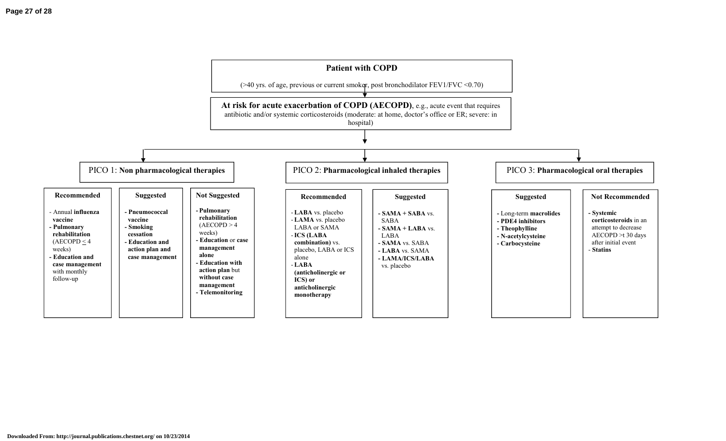